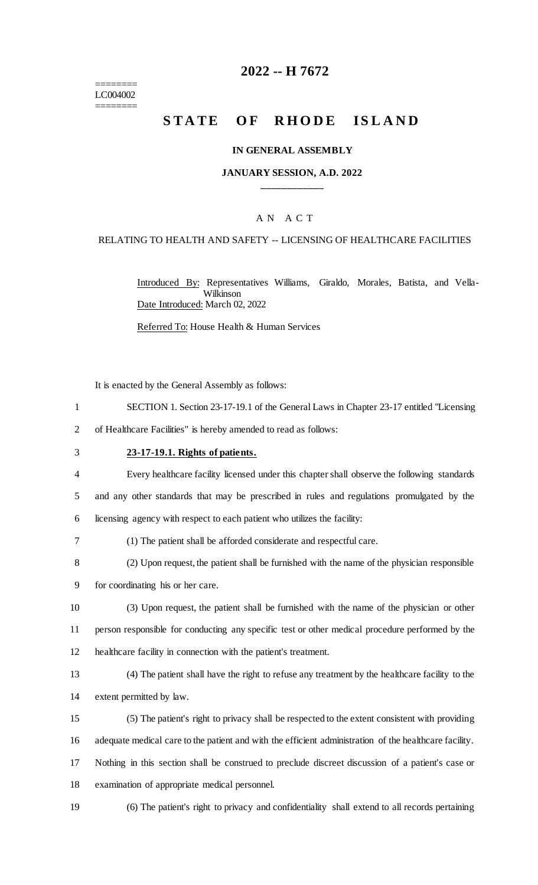======== LC004002 ========

# **2022 -- H 7672**

# **STATE OF RHODE ISLAND**

#### **IN GENERAL ASSEMBLY**

#### **JANUARY SESSION, A.D. 2022 \_\_\_\_\_\_\_\_\_\_\_\_**

### A N A C T

### RELATING TO HEALTH AND SAFETY -- LICENSING OF HEALTHCARE FACILITIES

Introduced By: Representatives Williams, Giraldo, Morales, Batista, and Vella-Wilkinson Date Introduced: March 02, 2022

Referred To: House Health & Human Services

It is enacted by the General Assembly as follows:

- 1 SECTION 1. Section 23-17-19.1 of the General Laws in Chapter 23-17 entitled "Licensing
- 2 of Healthcare Facilities" is hereby amended to read as follows:
- 3 **23-17-19.1. Rights of patients.**

4 Every healthcare facility licensed under this chapter shall observe the following standards 5 and any other standards that may be prescribed in rules and regulations promulgated by the 6 licensing agency with respect to each patient who utilizes the facility:

- 7 (1) The patient shall be afforded considerate and respectful care.
- 8 (2) Upon request, the patient shall be furnished with the name of the physician responsible
- 9 for coordinating his or her care.
- 10 (3) Upon request, the patient shall be furnished with the name of the physician or other 11 person responsible for conducting any specific test or other medical procedure performed by the 12 healthcare facility in connection with the patient's treatment.
- 13 (4) The patient shall have the right to refuse any treatment by the healthcare facility to the 14 extent permitted by law.
- 15 (5) The patient's right to privacy shall be respected to the extent consistent with providing 16 adequate medical care to the patient and with the efficient administration of the healthcare facility. 17 Nothing in this section shall be construed to preclude discreet discussion of a patient's case or
- 18 examination of appropriate medical personnel.
- 
- 19 (6) The patient's right to privacy and confidentiality shall extend to all records pertaining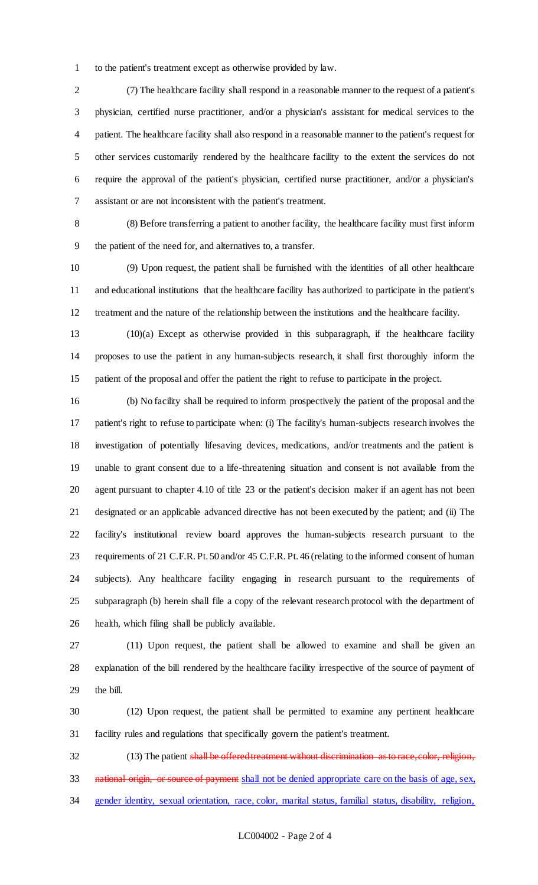to the patient's treatment except as otherwise provided by law.

 (7) The healthcare facility shall respond in a reasonable manner to the request of a patient's physician, certified nurse practitioner, and/or a physician's assistant for medical services to the patient. The healthcare facility shall also respond in a reasonable manner to the patient's request for other services customarily rendered by the healthcare facility to the extent the services do not require the approval of the patient's physician, certified nurse practitioner, and/or a physician's assistant or are not inconsistent with the patient's treatment.

 (8) Before transferring a patient to another facility, the healthcare facility must first inform the patient of the need for, and alternatives to, a transfer.

 (9) Upon request, the patient shall be furnished with the identities of all other healthcare and educational institutions that the healthcare facility has authorized to participate in the patient's treatment and the nature of the relationship between the institutions and the healthcare facility.

 (10)(a) Except as otherwise provided in this subparagraph, if the healthcare facility proposes to use the patient in any human-subjects research, it shall first thoroughly inform the patient of the proposal and offer the patient the right to refuse to participate in the project.

 (b) No facility shall be required to inform prospectively the patient of the proposal and the patient's right to refuse to participate when: (i) The facility's human-subjects research involves the investigation of potentially lifesaving devices, medications, and/or treatments and the patient is unable to grant consent due to a life-threatening situation and consent is not available from the agent pursuant to chapter 4.10 of title 23 or the patient's decision maker if an agent has not been designated or an applicable advanced directive has not been executed by the patient; and (ii) The facility's institutional review board approves the human-subjects research pursuant to the requirements of 21 C.F.R. Pt. 50 and/or 45 C.F.R. Pt. 46 (relating to the informed consent of human subjects). Any healthcare facility engaging in research pursuant to the requirements of subparagraph (b) herein shall file a copy of the relevant research protocol with the department of health, which filing shall be publicly available.

 (11) Upon request, the patient shall be allowed to examine and shall be given an explanation of the bill rendered by the healthcare facility irrespective of the source of payment of the bill.

 (12) Upon request, the patient shall be permitted to examine any pertinent healthcare facility rules and regulations that specifically govern the patient's treatment.

32 (13) The patient shall be offered treatment without discrimination as to race, color, religion, 33 national origin, or source of payment shall not be denied appropriate care on the basis of age, sex, gender identity, sexual orientation, race, color, marital status, familial status, disability, religion,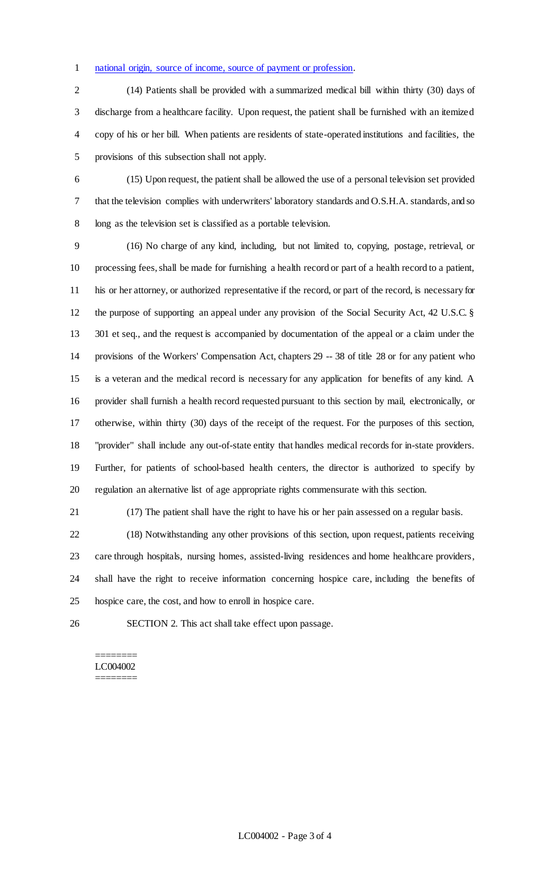### national origin, source of income, source of payment or profession.

 (14) Patients shall be provided with a summarized medical bill within thirty (30) days of discharge from a healthcare facility. Upon request, the patient shall be furnished with an itemized copy of his or her bill. When patients are residents of state-operated institutions and facilities, the provisions of this subsection shall not apply.

 (15) Upon request, the patient shall be allowed the use of a personal television set provided that the television complies with underwriters' laboratory standards and O.S.H.A. standards, and so 8 long as the television set is classified as a portable television.

 (16) No charge of any kind, including, but not limited to, copying, postage, retrieval, or processing fees, shall be made for furnishing a health record or part of a health record to a patient, his or her attorney, or authorized representative if the record, or part of the record, is necessary for the purpose of supporting an appeal under any provision of the Social Security Act, 42 U.S.C. § 301 et seq., and the request is accompanied by documentation of the appeal or a claim under the provisions of the Workers' Compensation Act, chapters 29 -- 38 of title 28 or for any patient who is a veteran and the medical record is necessary for any application for benefits of any kind. A provider shall furnish a health record requested pursuant to this section by mail, electronically, or otherwise, within thirty (30) days of the receipt of the request. For the purposes of this section, "provider" shall include any out-of-state entity that handles medical records for in-state providers. Further, for patients of school-based health centers, the director is authorized to specify by regulation an alternative list of age appropriate rights commensurate with this section.

(17) The patient shall have the right to have his or her pain assessed on a regular basis.

 (18) Notwithstanding any other provisions of this section, upon request, patients receiving care through hospitals, nursing homes, assisted-living residences and home healthcare providers, shall have the right to receive information concerning hospice care, including the benefits of hospice care, the cost, and how to enroll in hospice care.

SECTION 2. This act shall take effect upon passage.

#### ======== LC004002 ========